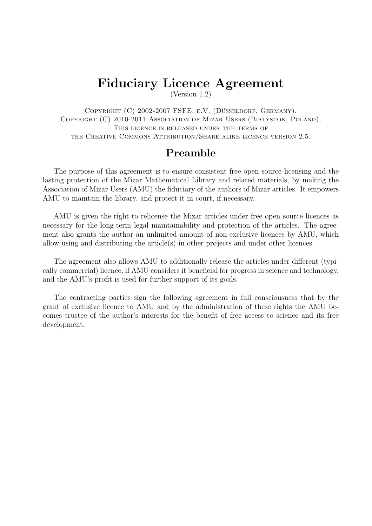# Fiduciary Licence Agreement

(Version 1.2)

COPYRIGHT (C) 2002-2007 FSFE, E.V. (DÜSSELDORF, GERMANY), COPYRIGHT (C) 2010-2011 ASSOCIATION OF MIZAR USERS (BIAŁYSTOK, POLAND), THIS LICENCE IS RELEASED UNDER THE TERMS OF the Creative Commons Attribution/Share-alike licence version 2.5.

#### Preamble

The purpose of this agreement is to ensure consistent free open source licensing and the lasting protection of the Mizar Mathematical Library and related materials, by making the Association of Mizar Users (AMU) the fiduciary of the authors of Mizar articles. It empowers AMU to maintain the library, and protect it in court, if necessary.

AMU is given the right to relicense the Mizar articles under free open source licences as necessary for the long-term legal maintainability and protection of the articles. The agreement also grants the author an unlimited amount of non-exclusive licences by AMU, which allow using and distributing the article(s) in other projects and under other licences.

The agreement also allows AMU to additionally release the articles under different (typically commercial) licence, if AMU considers it beneficial for progress in science and technology, and the AMU's profit is used for further support of its goals.

The contracting parties sign the following agreement in full consciousness that by the grant of exclusive licence to AMU and by the administration of these rights the AMU becomes trustee of the author's interests for the benefit of free access to science and its free development.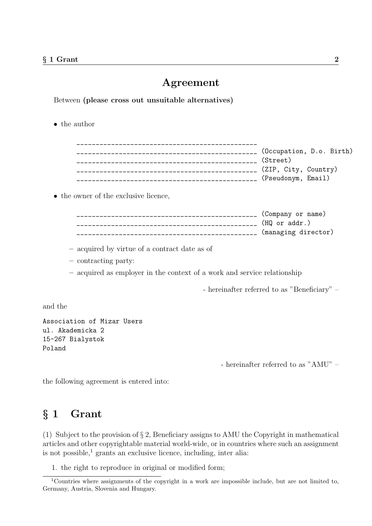#### Agreement

Between (please cross out unsuitable alternatives)

• the author

| (Occupation, D.o. Birth) |
|--------------------------|
| (Street)                 |
| (ZIP, City, Country)     |
| (Pseudonym, Email)       |

• the owner of the exclusive licence,

| (Company or name)   |
|---------------------|
| (HQ or addr.)       |
| (managing director) |

- acquired by virtue of a contract date as of
- contracting party:
- acquired as employer in the context of a work and service relationship

- hereinafter referred to as "Beneficiary" –

and the

Association of Mizar Users ul. Akademicka 2 15-267 Bialystok Poland

- hereinafter referred to as "AMU" –

the following agreement is entered into:

#### § 1 Grant

(1) Subject to the provision of § 2, Beneficiary assigns to AMU the Copyright in mathematical articles and other copyrightable material world-wide, or in countries where such an assignment is not possible, $\frac{1}{1}$  grants an exclusive licence, including, inter alia:

1. the right to reproduce in original or modified form;

<sup>1</sup>Countries where assignments of the copyright in a work are impossible include, but are not limited to, Germany, Austria, Slovenia and Hungary.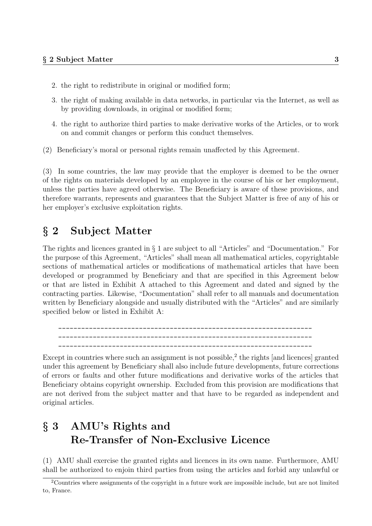- 2. the right to redistribute in original or modified form;
- 3. the right of making available in data networks, in particular via the Internet, as well as by providing downloads, in original or modified form;
- 4. the right to authorize third parties to make derivative works of the Articles, or to work on and commit changes or perform this conduct themselves.
- (2) Beneficiary's moral or personal rights remain unaffected by this Agreement.

(3) In some countries, the law may provide that the employer is deemed to be the owner of the rights on materials developed by an employee in the course of his or her employment, unless the parties have agreed otherwise. The Beneficiary is aware of these provisions, and therefore warrants, represents and guarantees that the Subject Matter is free of any of his or her employer's exclusive exploitation rights.

#### § 2 Subject Matter

The rights and licences granted in § 1 are subject to all "Articles" and "Documentation." For the purpose of this Agreement, "Articles" shall mean all mathematical articles, copyrightable sections of mathematical articles or modifications of mathematical articles that have been developed or programmed by Beneficiary and that are specified in this Agreement below or that are listed in Exhibit A attached to this Agreement and dated and signed by the contracting parties. Likewise, "Documentation" shall refer to all manuals and documentation written by Beneficiary alongside and usually distributed with the "Articles" and are similarly specified below or listed in Exhibit A:

\_\_\_\_\_\_\_\_\_\_\_\_\_\_\_\_\_\_\_\_\_\_\_\_\_\_\_\_\_\_\_\_\_\_\_\_\_\_\_\_\_\_\_\_\_\_\_\_\_\_\_\_\_\_\_\_\_\_\_\_\_\_\_\_\_\_ \_\_\_\_\_\_\_\_\_\_\_\_\_\_\_\_\_\_\_\_\_\_\_\_\_\_\_\_\_\_\_\_\_\_\_\_\_\_\_\_\_\_\_\_\_\_\_\_\_\_\_\_\_\_\_\_\_\_\_\_\_\_\_\_\_\_ \_\_\_\_\_\_\_\_\_\_\_\_\_\_\_\_\_\_\_\_\_\_\_\_\_\_\_\_\_\_\_\_\_\_\_\_\_\_\_\_\_\_\_\_\_\_\_\_\_\_\_\_\_\_\_\_\_\_\_\_\_\_\_\_\_\_

Except in countries where such an assignment is not possible,<sup>2</sup> the rights [and licences] granted under this agreement by Beneficiary shall also include future developments, future corrections of errors or faults and other future modifications and derivative works of the articles that Beneficiary obtains copyright ownership. Excluded from this provision are modifications that are not derived from the subject matter and that have to be regarded as independent and original articles.

## § 3 AMU's Rights and Re-Transfer of Non-Exclusive Licence

(1) AMU shall exercise the granted rights and licences in its own name. Furthermore, AMU shall be authorized to enjoin third parties from using the articles and forbid any unlawful or

<sup>2</sup>Countries where assignments of the copyright in a future work are impossible include, but are not limited to, France.